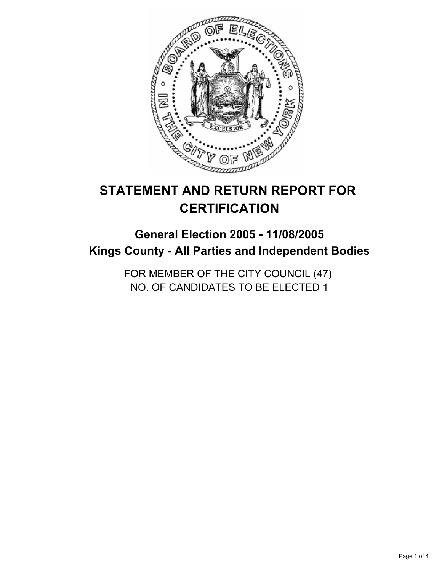

# **STATEMENT AND RETURN REPORT FOR CERTIFICATION**

## **General Election 2005 - 11/08/2005 Kings County - All Parties and Independent Bodies**

FOR MEMBER OF THE CITY COUNCIL (47) NO. OF CANDIDATES TO BE ELECTED 1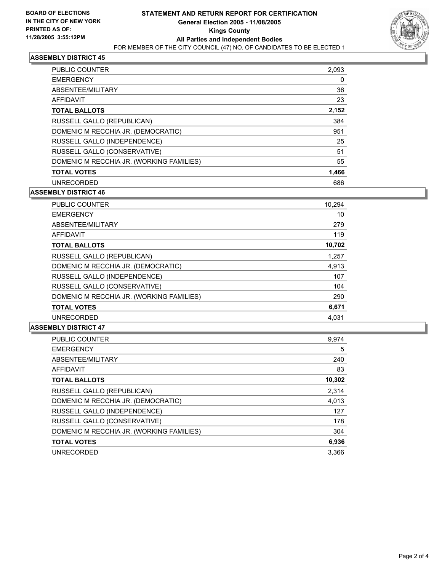

## **ASSEMBLY DISTRICT 45**

| <b>PUBLIC COUNTER</b>                    | 2,093 |
|------------------------------------------|-------|
| <b>EMERGENCY</b>                         | 0     |
| ABSENTEE/MILITARY                        | 36    |
| AFFIDAVIT                                | 23    |
| <b>TOTAL BALLOTS</b>                     | 2,152 |
| RUSSELL GALLO (REPUBLICAN)               | 384   |
| DOMENIC M RECCHIA JR. (DEMOCRATIC)       | 951   |
| RUSSELL GALLO (INDEPENDENCE)             | 25    |
| RUSSELL GALLO (CONSERVATIVE)             | 51    |
| DOMENIC M RECCHIA JR. (WORKING FAMILIES) | 55    |
| <b>TOTAL VOTES</b>                       | 1,466 |
| <b>UNRECORDED</b>                        | 686   |

**ASSEMBLY DISTRICT 46**

| <b>PUBLIC COUNTER</b><br>10,294             |     |
|---------------------------------------------|-----|
| <b>EMERGENCY</b>                            | 10  |
| ABSENTEE/MILITARY                           | 279 |
| <b>AFFIDAVIT</b>                            | 119 |
| <b>TOTAL BALLOTS</b><br>10,702              |     |
| RUSSELL GALLO (REPUBLICAN)<br>1,257         |     |
| DOMENIC M RECCHIA JR. (DEMOCRATIC)<br>4,913 |     |
| RUSSELL GALLO (INDEPENDENCE)                | 107 |
| RUSSELL GALLO (CONSERVATIVE)                | 104 |
| DOMENIC M RECCHIA JR. (WORKING FAMILIES)    | 290 |
| 6,671<br><b>TOTAL VOTES</b>                 |     |
| <b>UNRECORDED</b><br>4.031                  |     |

#### **ASSEMBLY DISTRICT 47**

| PUBLIC COUNTER                           | 9.974  |
|------------------------------------------|--------|
| <b>EMERGENCY</b>                         | 5      |
| ABSENTEE/MILITARY                        | 240    |
| <b>AFFIDAVIT</b>                         | 83     |
| <b>TOTAL BALLOTS</b>                     | 10,302 |
| RUSSELL GALLO (REPUBLICAN)               | 2,314  |
| DOMENIC M RECCHIA JR. (DEMOCRATIC)       | 4,013  |
| RUSSELL GALLO (INDEPENDENCE)             | 127    |
| RUSSELL GALLO (CONSERVATIVE)             | 178    |
| DOMENIC M RECCHIA JR. (WORKING FAMILIES) | 304    |
| <b>TOTAL VOTES</b>                       | 6,936  |
| <b>UNRECORDED</b>                        | 3.366  |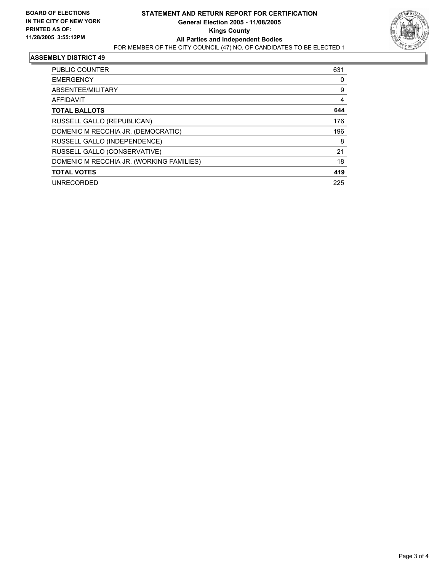

#### **ASSEMBLY DISTRICT 49**

| <b>PUBLIC COUNTER</b>                    | 631 |
|------------------------------------------|-----|
| <b>EMERGENCY</b>                         | 0   |
| ABSENTEE/MILITARY                        | 9   |
| <b>AFFIDAVIT</b>                         | 4   |
| <b>TOTAL BALLOTS</b>                     | 644 |
| RUSSELL GALLO (REPUBLICAN)               | 176 |
| DOMENIC M RECCHIA JR. (DEMOCRATIC)       | 196 |
| RUSSELL GALLO (INDEPENDENCE)             | 8   |
| RUSSELL GALLO (CONSERVATIVE)             | 21  |
| DOMENIC M RECCHIA JR. (WORKING FAMILIES) | 18  |
| <b>TOTAL VOTES</b>                       | 419 |
| <b>UNRECORDED</b>                        | 225 |